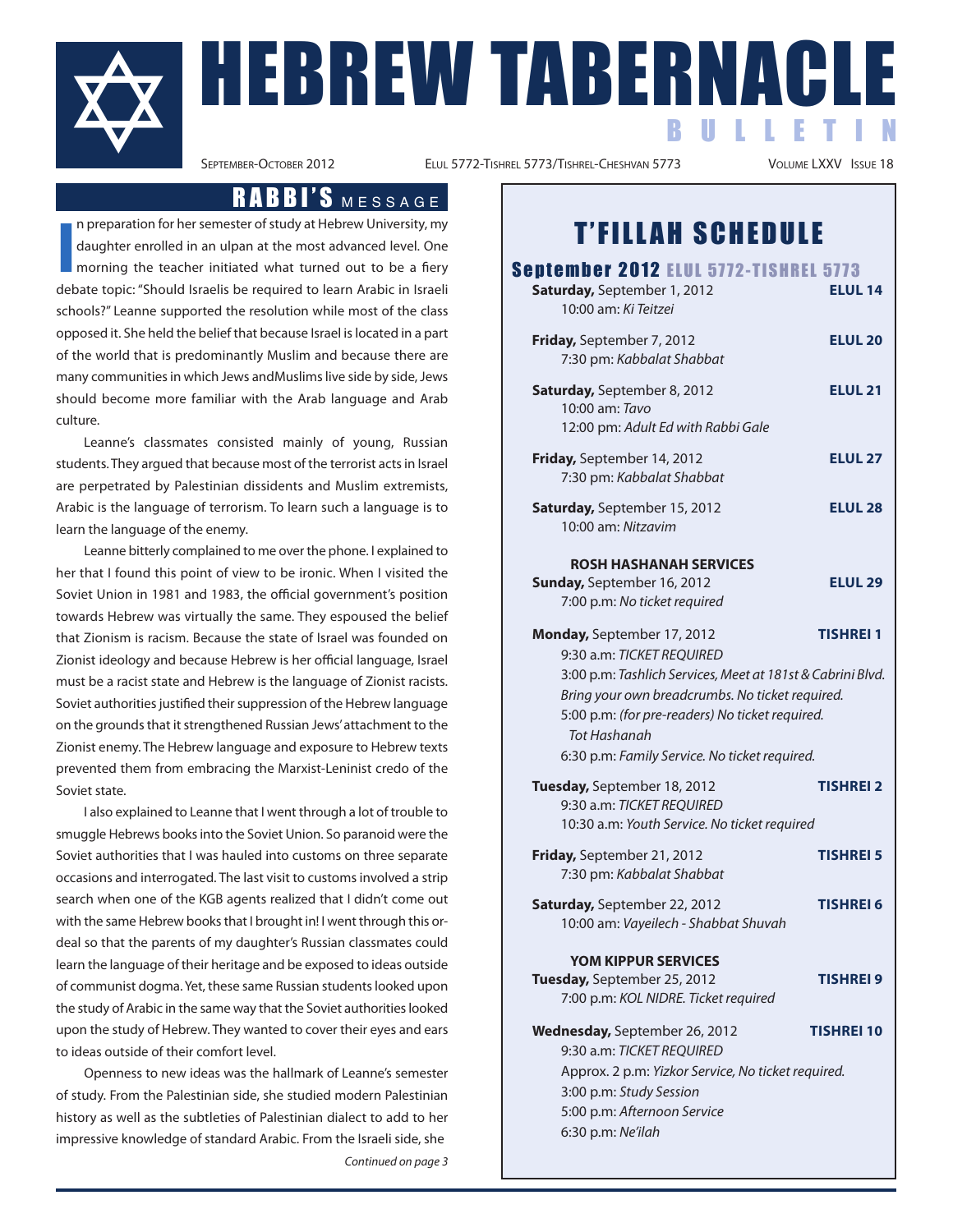

ELUL 5772-TISHREL 5773/TISHREL-CHESHVAN 5773

## RABBI'S MESSAGE

**I** n preparation for her semester of study at Hebrew University, my daughter enrolled in an ulpan at the most advanced level. One morning the teacher initiated what turned out to be a fiery debate topic: "Should Israelis be required to learn Arabic in Israeli schools?" Leanne supported the resolution while most of the class opposed it. She held the belief that because Israel is located in a part of the world that is predominantly Muslim and because there are many communities in which Jews andMuslims live side by side, Jews should become more familiar with the Arab language and Arab culture.

Leanne's classmates consisted mainly of young, Russian students. They argued that because most of the terrorist acts in Israel are perpetrated by Palestinian dissidents and Muslim extremists, Arabic is the language of terrorism. To learn such a language is to learn the language of the enemy.

Leanne bitterly complained to me over the phone. I explained to her that I found this point of view to be ironic. When I visited the Soviet Union in 1981 and 1983, the official government's position towards Hebrew was virtually the same. They espoused the belief that Zionism is racism. Because the state of Israel was founded on Zionist ideology and because Hebrew is her official language, Israel must be a racist state and Hebrew is the language of Zionist racists. Soviet authorities justified their suppression of the Hebrew language on the grounds that it strengthened Russian Jews'attachment to the Zionist enemy. The Hebrew language and exposure to Hebrew texts prevented them from embracing the Marxist-Leninist credo of the Soviet state.

I also explained to Leanne that I went through a lot of trouble to smuggle Hebrews books into the Soviet Union. So paranoid were the Soviet authorities that I was hauled into customs on three separate occasions and interrogated. The last visit to customs involved a strip search when one of the KGB agents realized that I didn't come out with the same Hebrew books that I brought in! I went through this ordeal so that the parents of my daughter's Russian classmates could learn the language of their heritage and be exposed to ideas outside of communist dogma. Yet, these same Russian students looked upon the study of Arabic in the same way that the Soviet authorities looked upon the study of Hebrew. They wanted to cover their eyes and ears to ideas outside of their comfort level.

Openness to new ideas was the hallmark of Leanne's semester of study. From the Palestinian side, she studied modern Palestinian history as well as the subtleties of Palestinian dialect to add to her impressive knowledge of standard Arabic. From the Israeli side, she Continued on page 3

## T'FILLAH SCHEDULE

| September 2012 ELUL 5772-TISHREL 5773<br>Saturday, September 1, 2012<br>10:00 am: Ki Teitzei                                                                                                                                      | <b>ELUL 14</b>    |
|-----------------------------------------------------------------------------------------------------------------------------------------------------------------------------------------------------------------------------------|-------------------|
| Friday, September 7, 2012<br>7:30 pm: Kabbalat Shabbat                                                                                                                                                                            | <b>ELUL 20</b>    |
| Saturday, September 8, 2012<br>10:00 am: Tavo<br>12:00 pm: Adult Ed with Rabbi Gale                                                                                                                                               | <b>ELUL 21</b>    |
| Friday, September 14, 2012<br>7:30 pm: Kabbalat Shabbat                                                                                                                                                                           | <b>ELUL 27</b>    |
| Saturday, September 15, 2012<br>10:00 am: Nitzavim                                                                                                                                                                                | <b>ELUL 28</b>    |
| <b>ROSH HASHANAH SERVICES</b><br>Sunday, September 16, 2012<br>7:00 p.m: No ticket required                                                                                                                                       | <b>ELUL 29</b>    |
| Monday, September 17, 2012<br>9:30 a.m: TICKET REQUIRED                                                                                                                                                                           | <b>TISHREI 1</b>  |
| 3:00 p.m: Tashlich Services, Meet at 181st & Cabrini Blvd.<br>Bring your own breadcrumbs. No ticket required.<br>5:00 p.m: (for pre-readers) No ticket required.<br>Tot Hashanah<br>6:30 p.m: Family Service. No ticket required. |                   |
| Tuesday, September 18, 2012<br>9:30 a.m: TICKET REQUIRED<br>10:30 a.m: Youth Service. No ticket required                                                                                                                          | <b>TISHREI 2</b>  |
| Friday, September 21, 2012<br>7:30 pm: Kabbalat Shabbat                                                                                                                                                                           | <b>TISHREI 5</b>  |
| Saturday, September 22, 2012<br>10:00 am: Vayeilech - Shabbat Shuvah                                                                                                                                                              | TISHREI 6         |
| <b>YOM KIPPUR SERVICES</b><br>Tuesday, September 25, 2012<br>7:00 p.m: KOL NIDRE. Ticket required                                                                                                                                 | <b>TISHREI 9</b>  |
| Wednesday, September 26, 2012<br>9:30 a.m: TICKET REQUIRED<br>Approx. 2 p.m: Yizkor Service, No ticket required.<br>3:00 p.m: Study Session<br>5:00 p.m: Afternoon Service                                                        | <b>TISHREI 10</b> |

6:30 p.m: Ne'ilah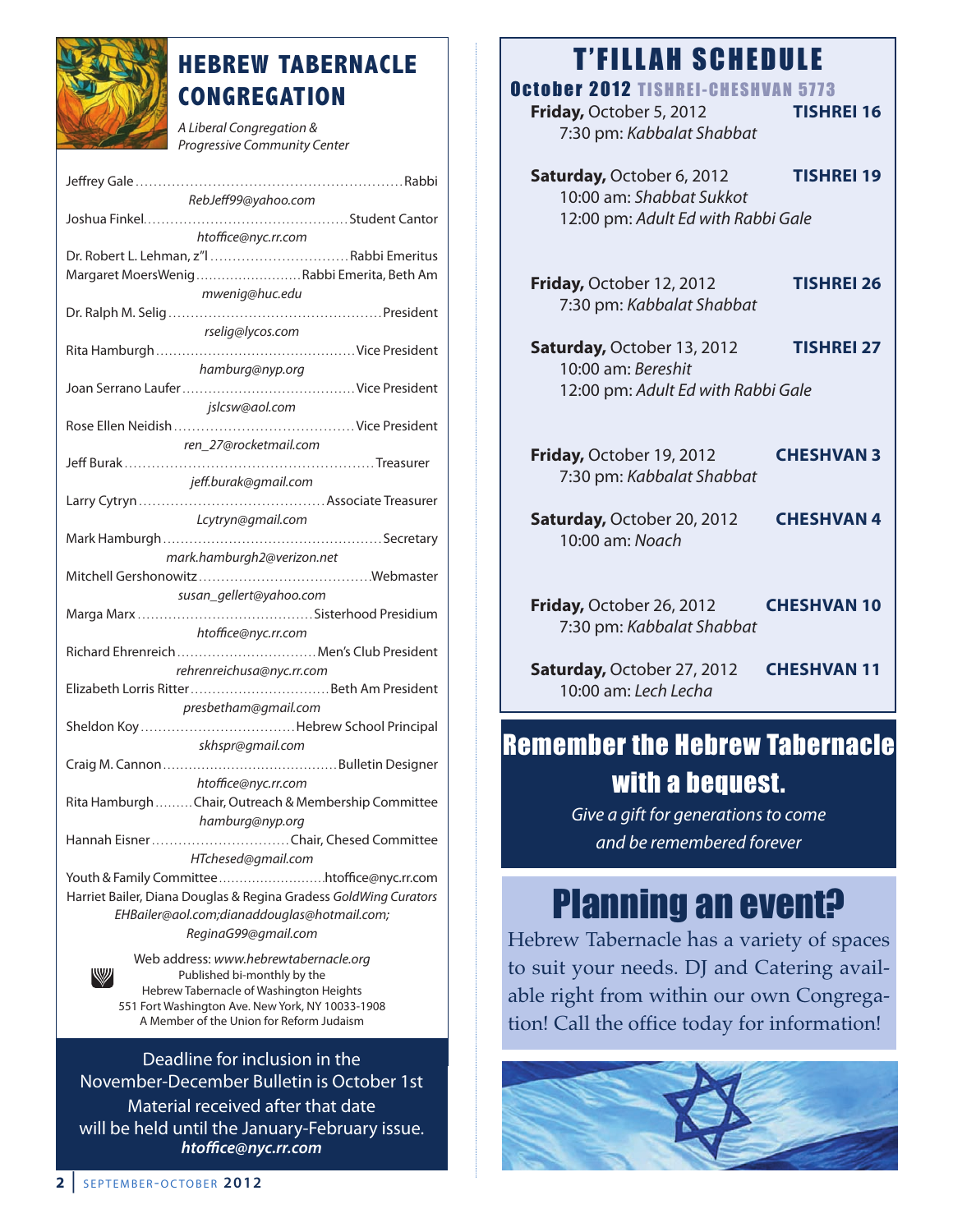

## **HEBREW TABERNACLE CONGREGATION**

A Liberal Congregation & Progressive Community Center

| RebJeff99@yahoo.com                                              |  |  |
|------------------------------------------------------------------|--|--|
|                                                                  |  |  |
| htoffice@nyc.rr.com                                              |  |  |
|                                                                  |  |  |
| Dr. Robert L. Lehman, z"l  Rabbi Emeritus                        |  |  |
| Margaret MoersWenigRabbi Emerita, Beth Am                        |  |  |
| mwenig@huc.edu                                                   |  |  |
|                                                                  |  |  |
| rselig@lycos.com                                                 |  |  |
|                                                                  |  |  |
| hamburg@nyp.org                                                  |  |  |
|                                                                  |  |  |
|                                                                  |  |  |
| jslcsw@aol.com                                                   |  |  |
|                                                                  |  |  |
| ren 27@rocketmail.com                                            |  |  |
|                                                                  |  |  |
| jeff.burak@gmail.com                                             |  |  |
|                                                                  |  |  |
|                                                                  |  |  |
| Lcytryn@gmail.com                                                |  |  |
|                                                                  |  |  |
| mark.hamburgh2@verizon.net                                       |  |  |
|                                                                  |  |  |
| susan_gellert@yahoo.com                                          |  |  |
|                                                                  |  |  |
|                                                                  |  |  |
| htoffice@nyc.rr.com                                              |  |  |
| Richard Ehrenreich  Men's Club President                         |  |  |
| rehrenreichusa@nyc.rr.com                                        |  |  |
|                                                                  |  |  |
| presbetham@gmail.com                                             |  |  |
|                                                                  |  |  |
| skhspr@gmail.com                                                 |  |  |
|                                                                  |  |  |
|                                                                  |  |  |
| htoffice@nyc.rr.com                                              |  |  |
| Rita Hamburgh Chair, Outreach & Membership Committee             |  |  |
| hamburg@nyp.org                                                  |  |  |
| Hannah Eisner Chair, Chesed Committee                            |  |  |
| HTchesed@gmail.com                                               |  |  |
| Youth & Family Committee htoffice@nyc.rr.com                     |  |  |
|                                                                  |  |  |
| Harriet Bailer, Diana Douglas & Regina Gradess GoldWing Curators |  |  |
| EHBailer@aol.com;dianaddouglas@hotmail.com;                      |  |  |
| ReginaG99@gmail.com                                              |  |  |
| Web address: www.hebrewtabernacle.org                            |  |  |
| <b><i><u>IWIJII</u></i></b>                                      |  |  |

Published bi-monthly by the Hebrew Tabernacle of Washington Heights 551 Fort Washington Ave. New York, NY 10033-1908 A Member of the Union for Reform Judaism

Deadline for inclusion in the November-December Bulletin is October 1st Material received after that date will be held until the January-February issue. *htoce@nyc.rr.com*

## **T'FILLAH SCHEDULE**

| October 2012 TISHREI-CHESHVAN 5773<br>Friday, October 5, 2012<br>7:30 pm: Kabbalat Shabbat | <b>TISHREI 16</b>  |
|--------------------------------------------------------------------------------------------|--------------------|
| Saturday, October 6, 2012<br>10:00 am: Shabbat Sukkot                                      | <b>TISHREI 19</b>  |
| 12:00 pm: Adult Ed with Rabbi Gale                                                         |                    |
| Friday, October 12, 2012<br>7:30 pm: Kabbalat Shabbat                                      | <b>TISHREI 26</b>  |
| Saturday, October 13, 2012                                                                 | <b>TISHREI 27</b>  |
| 10:00 am: Bereshit<br>12:00 pm: Adult Ed with Rabbi Gale                                   |                    |
| Friday, October 19, 2012<br>7:30 pm: Kabbalat Shabbat                                      | <b>CHESHVAN 3</b>  |
| Saturday, October 20, 2012<br>10:00 am: Noach                                              | <b>CHESHVAN4</b>   |
| Friday, October 26, 2012<br>7:30 pm: Kabbalat Shabbat                                      | <b>CHESHVAN 10</b> |
| Saturday, October 27, 2012<br>10:00 am: Lech Lecha                                         | <b>CHESHVAN 11</b> |

## Remember the Hebrew Tabernacle with a bequest.

Give a gift for generations to come and be remembered forever

## Planning an event?

Hebrew Tabernacle has a variety of spaces to suit your needs. DJ and Catering available right from within our own Congregation! Call the office today for information!

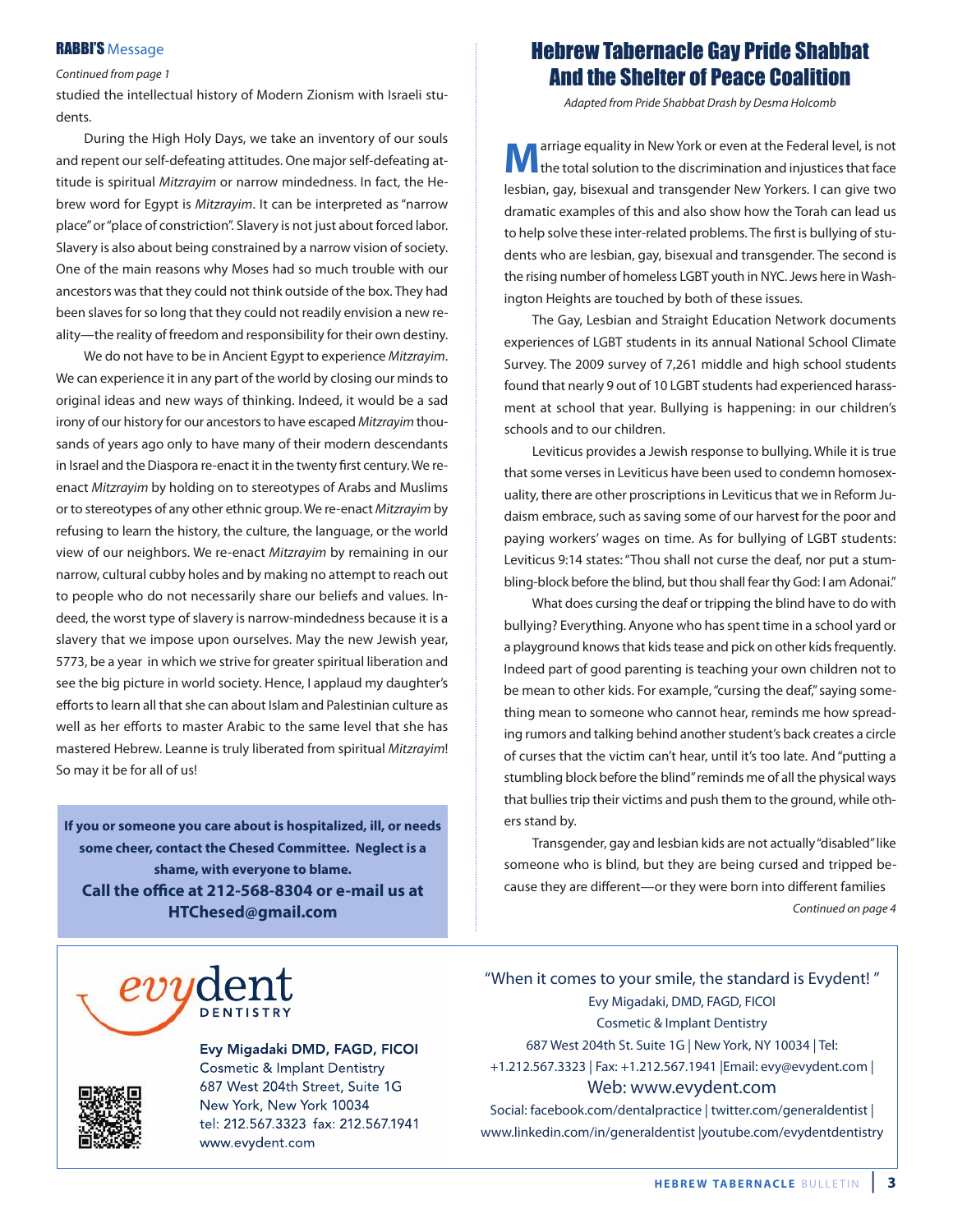### **RABBI'S Message**

Continued from page 1

studied the intellectual history of Modern Zionism with Israeli students.

During the High Holy Days, we take an inventory of our souls and repent our self-defeating attitudes. One major self-defeating attitude is spiritual Mitzrayim or narrow mindedness. In fact, the Hebrew word for Egypt is Mitzrayim. It can be interpreted as "narrow place"or"place of constriction". Slavery is not just about forced labor. Slavery is also about being constrained by a narrow vision of society. One of the main reasons why Moses had so much trouble with our ancestors was that they could not think outside of the box. They had been slaves for so long that they could not readily envision a new reality—the reality of freedom and responsibility for their own destiny.

We do not have to be in Ancient Egypt to experience Mitzrayim. We can experience it in any part of the world by closing our minds to original ideas and new ways of thinking. Indeed, it would be a sad irony of our history for our ancestors to have escaped Mitzrayim thousands of years ago only to have many of their modern descendants in Israel and the Diaspora re-enact it in the twenty first century. We reenact Mitzrayim by holding on to stereotypes of Arabs and Muslims or to stereotypes of any other ethnic group. We re-enact Mitzrayim by refusing to learn the history, the culture, the language, or the world view of our neighbors. We re-enact Mitzrayim by remaining in our narrow, cultural cubby holes and by making no attempt to reach out to people who do not necessarily share our beliefs and values. Indeed, the worst type of slavery is narrow-mindedness because it is a slavery that we impose upon ourselves. May the new Jewish year, 5773, be a year in which we strive for greater spiritual liberation and see the big picture in world society. Hence, I applaud my daughter's efforts to learn all that she can about Islam and Palestinian culture as well as her efforts to master Arabic to the same level that she has mastered Hebrew. Leanne is truly liberated from spiritual Mitzrayim! So may it be for all of us!

**If you or someone you care about is hospitalized, ill, or needs some cheer, contact the Chesed Committee. Neglect is a shame, with everyone to blame. Call the office at 212-568-8304 or e-mail us at HTChesed@gmail.com**

### Hebrew Tabernacle Gay Pride Shabbat And the Shelter of Peace Coalition

Adapted from Pride Shabbat Drash by Desma Holcomb

**M**arriage equality in New York or even at the Federal level, is not<br>the total solution to the discrimination and injustices that face lesbian, gay, bisexual and transgender New Yorkers. I can give two dramatic examples of this and also show how the Torah can lead us to help solve these inter-related problems. The first is bullying of students who are lesbian, gay, bisexual and transgender. The second is the rising number of homeless LGBT youth in NYC. Jews here in Washington Heights are touched by both of these issues.

The Gay, Lesbian and Straight Education Network documents experiences of LGBT students in its annual National School Climate Survey. The 2009 survey of 7,261 middle and high school students found that nearly 9 out of 10 LGBT students had experienced harassment at school that year. Bullying is happening: in our children's schools and to our children.

Leviticus provides a Jewish response to bullying. While it is true that some verses in Leviticus have been used to condemn homosexuality, there are other proscriptions in Leviticus that we in Reform Judaism embrace, such as saving some of our harvest for the poor and paying workers' wages on time. As for bullying of LGBT students: Leviticus 9:14 states: "Thou shall not curse the deaf, nor put a stumbling-block before the blind, but thou shall fear thy God: I am Adonai."

What does cursing the deaf or tripping the blind have to do with bullying? Everything. Anyone who has spent time in a school yard or a playground knows that kids tease and pick on other kids frequently. Indeed part of good parenting is teaching your own children not to be mean to other kids. For example, "cursing the deaf," saying something mean to someone who cannot hear, reminds me how spreading rumors and talking behind another student's back creates a circle of curses that the victim can't hear, until it's too late. And "putting a stumbling block before the blind"reminds me of all the physical ways that bullies trip their victims and push them to the ground, while others stand by.

Transgender, gay and lesbian kids are not actually"disabled"like someone who is blind, but they are being cursed and tripped because they are different—or they were born into different families Continued on page 4



Evy Migadaki DMD, FAGD, FICOI Cosmetic & Implant Dentistry 687 West 204th Street, Suite 1G New York, New York 10034 tel: 212.567.3323 fax: 212.567.1941 www.evydent.com

"When it comes to your smile, the standard is Evydent! " Evy Migadaki, DMD, FAGD, FICOI Cosmetic & Implant Dentistry 687 West 204th St. Suite 1G | New York, NY 10034 | Tel: +1.212.567.3323 | Fax: +1.212.567.1941 |Email: evy@evydent.com | Web: www.evydent.com Social: facebook.com/dentalpractice | twitter.com/generaldentist |

www.linkedin.com/in/generaldentist |youtube.com/evydentdentistry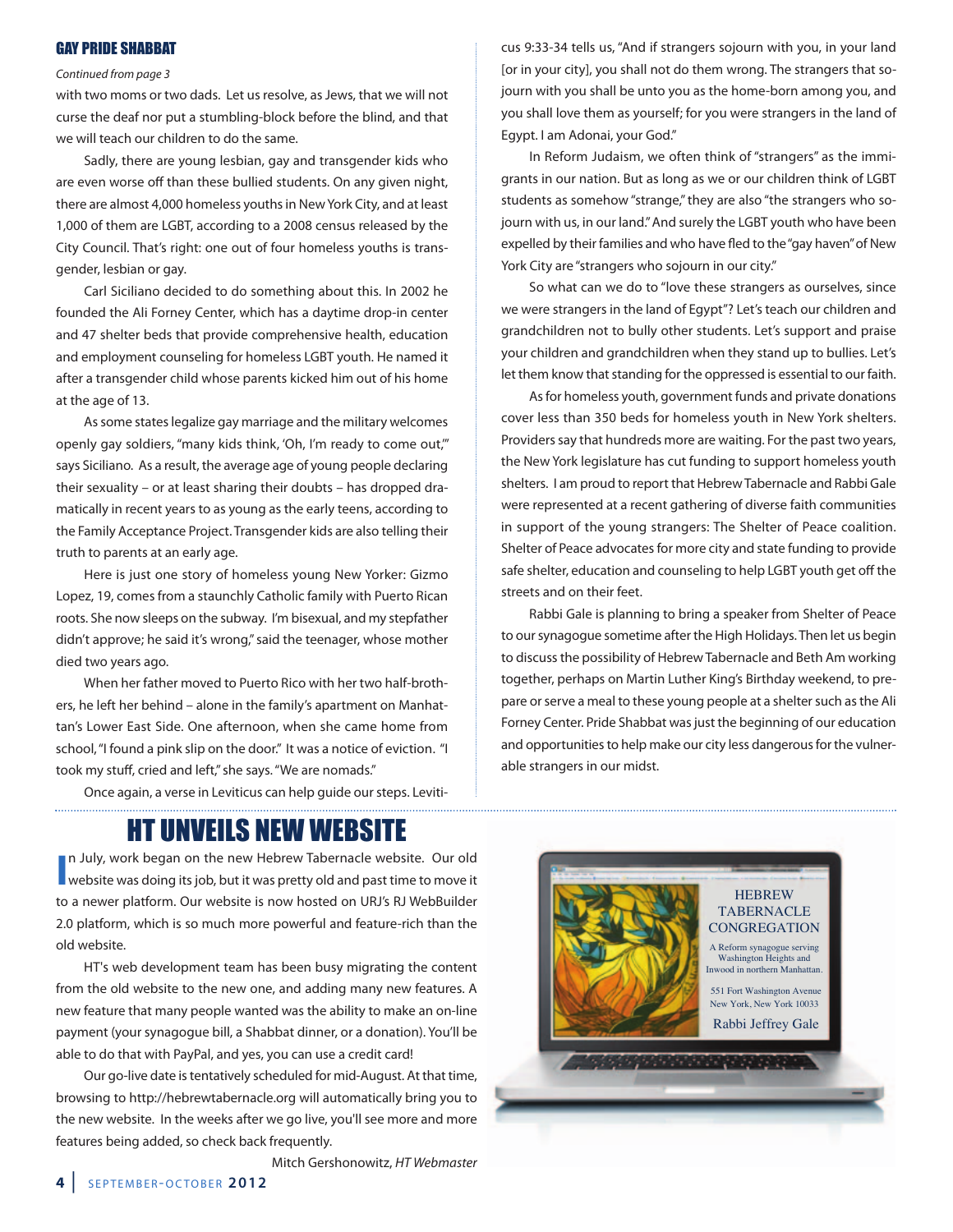### GAY PRIDE SHABBAT

### Continued from page 3

with two moms or two dads. Let us resolve, as Jews, that we will not curse the deaf nor put a stumbling-block before the blind, and that we will teach our children to do the same.

Sadly, there are young lesbian, gay and transgender kids who are even worse off than these bullied students. On any given night, there are almost 4,000 homeless youths in New York City, and at least 1,000 of them are LGBT, according to a 2008 census released by the City Council. That's right: one out of four homeless youths is transgender, lesbian or gay.

Carl Siciliano decided to do something about this. In 2002 he founded the Ali Forney Center, which has a daytime drop-in center and 47 shelter beds that provide comprehensive health, education and employment counseling for homeless LGBT youth. He named it after a transgender child whose parents kicked him out of his home at the age of 13.

As some states legalize gay marriage and the military welcomes openly gay soldiers, "many kids think, 'Oh, I'm ready to come out,'" says Siciliano. As a result, the average age of young people declaring their sexuality – or at least sharing their doubts – has dropped dramatically in recent years to as young as the early teens, according to the Family Acceptance Project. Transgender kids are also telling their truth to parents at an early age.

Here is just one story of homeless young New Yorker: Gizmo Lopez, 19, comes from a staunchly Catholic family with Puerto Rican roots. She now sleeps on the subway. I'm bisexual, and my stepfather didn't approve; he said it's wrong," said the teenager, whose mother died two years ago.

When her father moved to Puerto Rico with her two half-brothers, he left her behind – alone in the family's apartment on Manhattan's Lower East Side. One afternoon, when she came home from school, "I found a pink slip on the door." It was a notice of eviction. "I took my stuff, cried and left," she says. "We are nomads."

Once again, a verse in Leviticus can help guide our steps. Leviti-

## HT UNVEILS NEW WEBSITE

**I** In July, work began on the new Hebrew Tabernacle website. Our old website was doing its job, but it was pretty old and past time to move it n July, work began on the new Hebrew Tabernacle website. Our old to a newer platform. Our website is now hosted on URJ's RJ WebBuilder 2.0 platform, which is so much more powerful and feature-rich than the old website.

HT's web development team has been busy migrating the content from the old website to the new one, and adding many new features. A new feature that many people wanted was the ability to make an on-line payment (your synagogue bill, a Shabbat dinner, or a donation). You'll be able to do that with PayPal, and yes, you can use a credit card!

Our go-live date is tentatively scheduled for mid-August. At that time, browsing to http://hebrewtabernacle.org will automatically bring you to the new website. In the weeks after we go live, you'll see more and more features being added, so check back frequently.



cus 9:33-34 tells us, "And if strangers sojourn with you, in your land [or in your city], you shall not do them wrong. The strangers that sojourn with you shall be unto you as the home-born among you, and you shall love them as yourself; for you were strangers in the land of Egypt. I am Adonai, your God."

In Reform Judaism, we often think of "strangers" as the immigrants in our nation. But as long as we or our children think of LGBT students as somehow "strange," they are also "the strangers who sojourn with us, in our land." And surely the LGBT youth who have been expelled by their families and who have fled to the "gay haven" of New York City are "strangers who sojourn in our city."

So what can we do to "love these strangers as ourselves, since we were strangers in the land of Egypt"? Let's teach our children and grandchildren not to bully other students. Let's support and praise your children and grandchildren when they stand up to bullies. Let's let them know that standing for the oppressed is essential to our faith.

As for homeless youth, government funds and private donations cover less than 350 beds for homeless youth in New York shelters. Providers say that hundreds more are waiting. For the past two years, the New York legislature has cut funding to support homeless youth shelters. I am proud to report that Hebrew Tabernacle and Rabbi Gale were represented at a recent gathering of diverse faith communities in support of the young strangers: The Shelter of Peace coalition. Shelter of Peace advocates for more city and state funding to provide safe shelter, education and counseling to help LGBT youth get off the streets and on their feet.

Rabbi Gale is planning to bring a speaker from Shelter of Peace to our synagogue sometime after the High Holidays. Then let us begin to discuss the possibility of Hebrew Tabernacle and Beth Am working together, perhaps on Martin Luther King's Birthday weekend, to prepare or serve a meal to these young people at a shelter such as the Ali Forney Center. Pride Shabbat was just the beginning of our education and opportunities to help make our city less dangerous for the vulnerable strangers in our midst.

Mitch Gershonowitz, HT Webmaster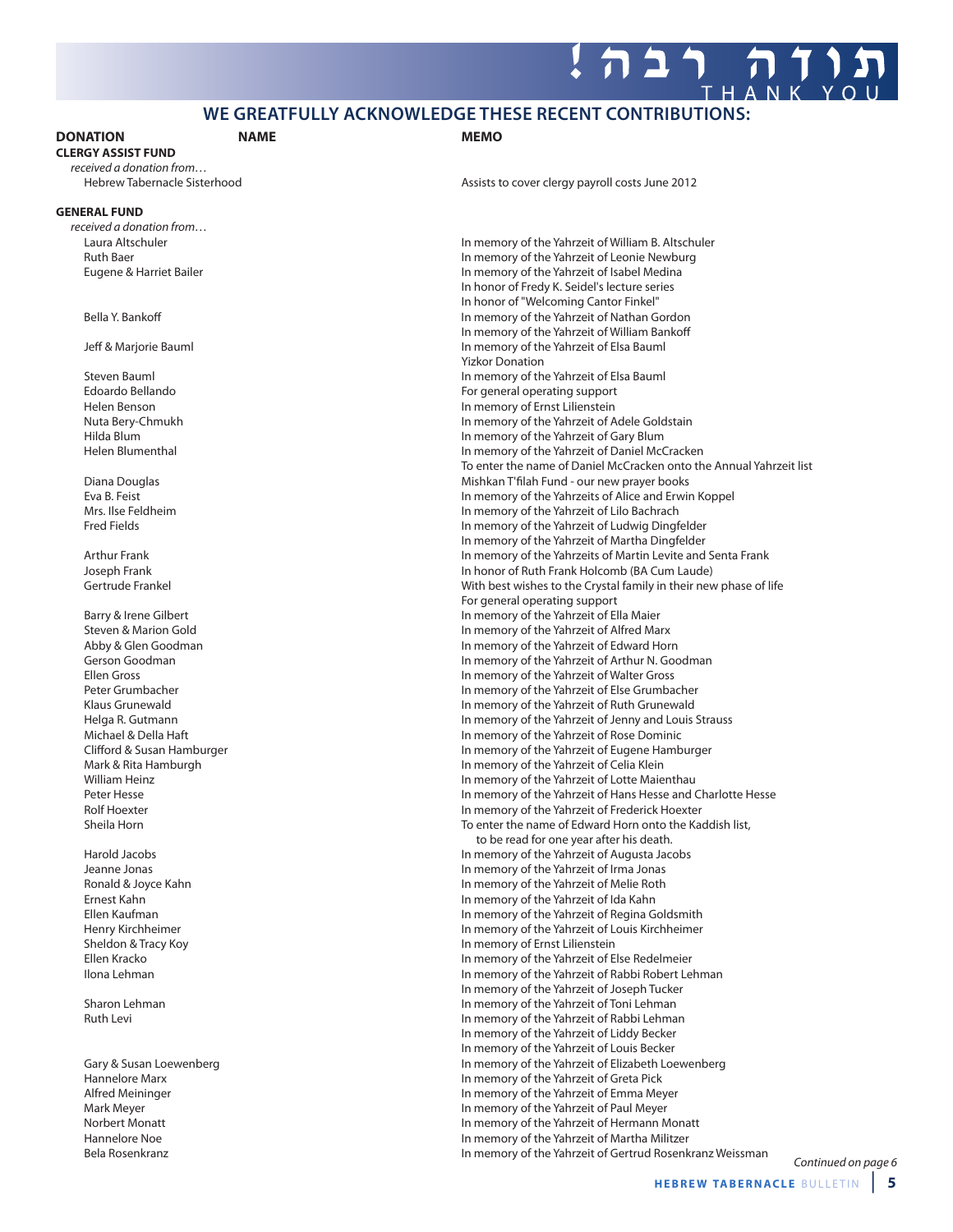### **WE GREATFULLY ACKNOWLEDGE THESE RECENT CONTRIBUTIONS:**

### **DONATION NAME MEMO**

**CLERGY ASSIST FUND**

received a donation from...<br>Hebrew Tabernacle Sisterhood

### **GENERAL FUND**

received a donation from…

Assists to cover clergy payroll costs June 2012

Laura Altschuler In memory of the Yahrzeit of William B. Altschuler Ruth Baer<br>
Eugene & Harriet Bailer **In memory of the Yahrzeit of Leonie Newburg**<br>
In memory of the Yahrzeit of Isabel Medina In memory of the Yahrzeit of Isabel Medina In honor of Fredy K. Seidel's lecture series In honor of "Welcoming Cantor Finkel" Bella Y. Bankoff **Example 20** is a set of Nathan Gordon In memory of the Yahrzeit of Nathan Gordon In memory of the Yahrzeit of William Bankoff Jeff & Mariorie Bauml **In memory of the Yahrzeit of Elsa Bauml** In memory of the Yahrzeit of Elsa Bauml Yizkor Donation Steven Bauml In memory of the Yahrzeit of Elsa Bauml Edoardo Bellando For general operating support Helen Benson In memory of Ernst Lilienstein Nuta Bery-Chmukh **In memory of the Yahrzeit of Adele Goldstain**<br>In memory of the Yahrzeit of Gary Blum<br>In memory of the Yahrzeit of Gary Blum In memory of the Yahrzeit of Gary Blum Helen Blumenthal In memory of the Yahrzeit of Daniel McCracken To enter the name of Daniel McCracken onto the Annual Yahrzeit list Diana Douglas **Mishkan T'filah Fund - our new prayer books** Mishkan T'filah Fund - our new prayer books Eva B. Feist In memory of the Yahrzeits of Alice and Erwin Koppel<br>In memory of the Yahrzeit of Lilo Bachrach In memory of the Yahrzeit of Lilo Bachrach Fred Fields In memory of the Yahrzeit of Ludwig Dingfelder In memory of the Yahrzeit of Martha Dingfelder Arthur Frank In memory of the Yahrzeits of Martin Levite and Senta Frank Joseph Frank In honor of Ruth Frank Holcomb (BA Cum Laude) Gertrude Frankel **With best wishes to the Crystal family in their new phase of life** For general operating support Barry & Irene Gilbert **In memory of the Yahrzeit of Ella Maier** In memory of the Yahrzeit of Ella Maier Steven & Marion Gold In memory of the Yahrzeit of Alfred Marx Abby & Glen Goodman In memory of the Yahrzeit of Edward Horn Gerson Goodman **In memory of the Yahrzeit of Arthur N. Goodman**<br>In memory of the Yahrzeit of Walter Gross In memory of the Yahrzeit of Walter Gross Peter Grumbacher In memory of the Yahrzeit of Else Grumbacher Klaus Grunewald **In memory of the Yahrzeit of Ruth Grunewald** In memory of the Yahrzeit of Ruth Grunewald Helga R. Gutmann **In memory of the Yahrzeit of Jenny and Louis Strauss**<br>Michael & Della Haft **In memory of the Yahrzeit of Rose Dominic** In memory of the Yahrzeit of Rose Dominic Clifford & Susan Hamburger **In the Value of the Yahrzeit of Eugene Hamburger** In memory of the Yahrzeit of Eugene Hamburger Mark & Rita Hamburgh **In memory of the Yahrzeit of Celia Klein** William Heinz<br>
Peter Hesse **In memory of the Yahrzeit of Lotte Maienthau**<br>
In memory of the Yahrzeit of Hans Hesse and C In memory of the Yahrzeit of Hans Hesse and Charlotte Hesse Rolf Hoexter **In memory of the Yahrzeit of Frederick Hoexter** In memory of the Yahrzeit of Frederick Hoexter Sheila Horn **The Internal Equation Controller Controller** To enter the name of Edward Horn onto the Kaddish list, to be read for one year after his death. Harold Jacobs In memory of the Yahrzeit of Augusta Jacobs Jeanne Jonas In memory of the Yahrzeit of Irma Jonas In memory of the Yahrzeit of Melie Roth Ernest Kahn In memory of the Yahrzeit of Ida Kahn Ellen Kaufman In memory of the Yahrzeit of Regina Goldsmith Henry Kirchheimer In memory of the Yahrzeit of Louis Kirchheimer Sheldon & Tracy Koy **In memory of Ernst Lilienstein**<br>
Fllen Kracko **In memory of the Yahrzeit of E** Ellen Kracko In memory of the Yahrzeit of Else Redelmeier In memory of the Yahrzeit of Rabbi Robert Lehman In memory of the Yahrzeit of Joseph Tucker Sharon Lehman **In memory of the Yahrzeit of Toni Lehman** Ruth Levi In memory of the Yahrzeit of Rabbi Lehman In memory of the Yahrzeit of Liddy Becker In memory of the Yahrzeit of Louis Becker Gary & Susan Loewenberg **In memory of the Yahrzeit of Elizabeth Loewenberg** In memory of the Yahrzeit of Elizabeth Loewenberg Hannelore Marx **In memory of the Yahrzeit of Greta Pick**<br>In memory of the Yahrzeit of Emma Me In memory of the Yahrzeit of Emma Meyer Mark Meyer **Mark Meyer In memory of the Yahrzeit of Paul Meyer**<br>In memory of the Yahrzeit of Hermann N In memory of the Yahrzeit of Hermann Monatt Hannelore Noe In memory of the Yahrzeit of Martha Militzer Bela Rosenkranz In memory of the Yahrzeit of Gertrud Rosenkranz Weissman

Continued on page 6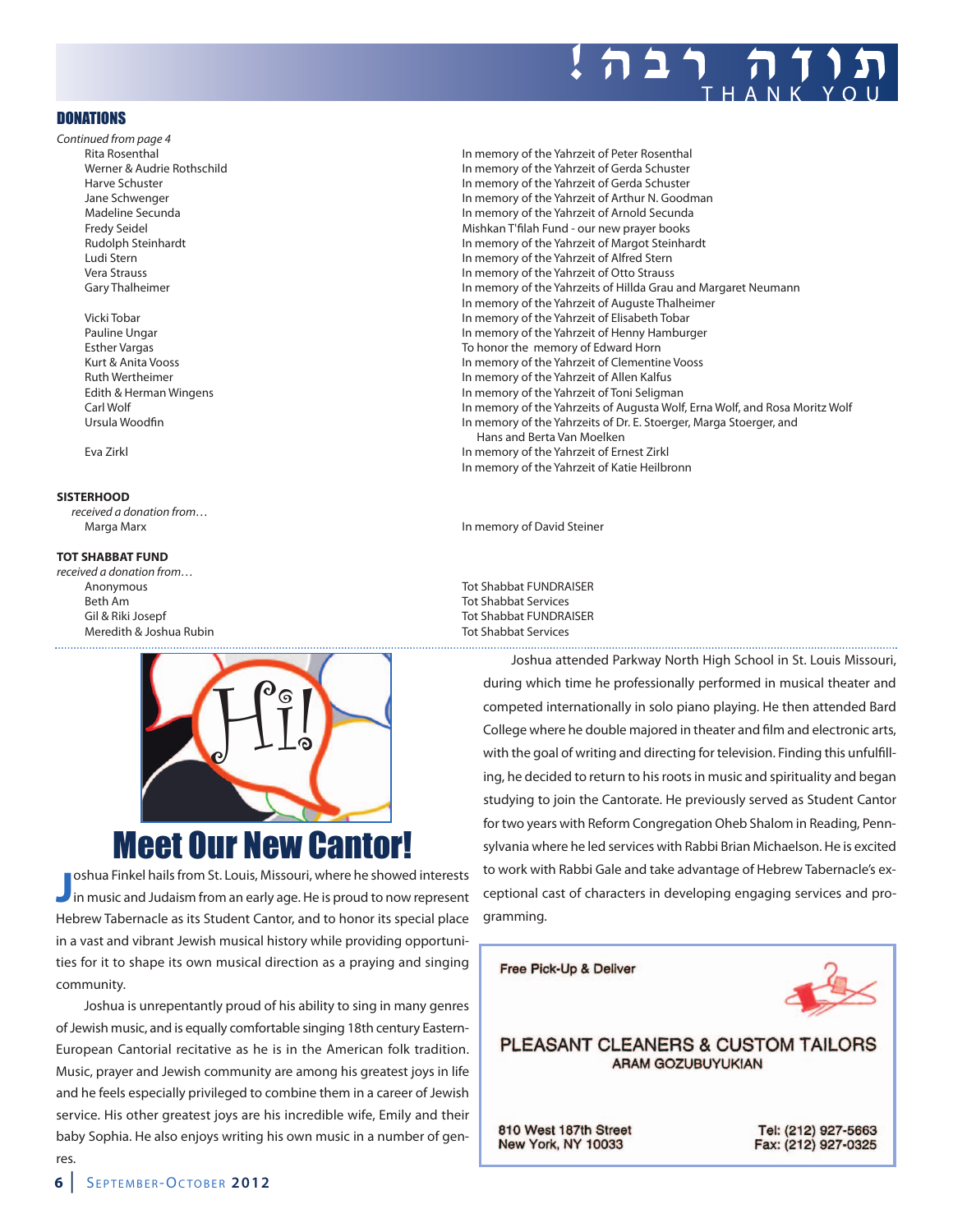

### **DONATIONS**

- Continued from page 4 Rita Rosenthal In memory of the Yahrzeit of Peter Rosenthal
	-

### **SISTERHOOD**

received a donation from… Marga Marx In memory of David Steiner

### **TOT SHABBAT FUND**

received a donation from… Anonymous and the state of the state of the state of the Shabbat FUNDRAISER Beth Am Tot Shabbat Services Meredith & Joshua Rubin Tot Shabbat Services



**J** oshua Finkel hails from St. Louis, Missouri, where he showed interests<br>in music and Judaism from an early age. He is proud to now represent oshua Finkel hails from St. Louis, Missouri, where he showed interests Hebrew Tabernacle as its Student Cantor, and to honor its special place in a vast and vibrant Jewish musical history while providing opportuni-

ties for it to shape its own musical direction as a praying and singing community.

Joshua is unrepentantly proud of his ability to sing in many genres of Jewish music, and is equally comfortable singing 18th century Eastern-European Cantorial recitative as he is in the American folk tradition. Music, prayer and Jewish community are among his greatest joys in life and he feels especially privileged to combine them in a career of Jewish service. His other greatest joys are his incredible wife, Emily and their baby Sophia. He also enjoys writing his own music in a number of genres.

Werner & Audrie Rothschild In memory of the Yahrzeit of Gerda Schuster Harve Schuster **In memory of the Yahrzeit of Gerda Schuster** In memory of the Yahrzeit of Gerda Schuster<br>In memory of the Yahrzeit of Arthur N. Good In memory of the Yahrzeit of Arthur N. Goodman Madeline Secunda In memory of the Yahrzeit of Arnold Secunda Fredy Seidel **Fredy Seidel** Mishkan T'filah Fund - our new prayer books Rudolph Steinhardt In memory of the Yahrzeit of Margot Steinhardt Ludi Stern In memory of the Yahrzeit of Alfred Stern Vera Strauss In memory of the Yahrzeit of Otto Strauss Gary Thalheimer **In the United States and The In memory of the Yahrzeits of Hillda Grau and Margaret Neumann** In memory of the Yahrzeit of Auguste Thalheimer Vicki Tobar In memory of the Yahrzeit of Elisabeth Tobar Pauline Ungar **In memory of the Yahrzeit of Henny Hamburger** In memory of the Yahrzeit of Henny Hamburger Esther Vargas To honor the memory of Edward Horn Kurt & Anita Vooss In memory of the Yahrzeit of Clementine Vooss Ruth Wertheimer **In memory of the Yahrzeit of Allen Kalfus** Edith & Herman Wingens In memory of the Yahrzeit of Toni Seligman Carl Wolf In memory of the Yahrzeits of Augusta Wolf, Erna Wolf, and Rosa Moritz Wolf Ursula Woodfin **In memory of the Yahrzeits of Dr. E. Stoerger**, Marga Stoerger, and Hans and Berta Van Moelken Eva Zirkl In memory of the Yahrzeit of Ernest Zirkl In memory of the Yahrzeit of Katie Heilbronn

Gil & Riki Josepf Tot Shabbat FUNDRAISER

Joshua attended Parkway North High School in St. Louis Missouri, during which time he professionally performed in musical theater and competed internationally in solo piano playing. He then attended Bard College where he double majored in theater and film and electronic arts, with the goal of writing and directing for television. Finding this unfulfilling, he decided to return to his roots in music and spirituality and began studying to join the Cantorate. He previously served as Student Cantor for two years with Reform Congregation Oheb Shalom in Reading, Pennsylvania where he led services with Rabbi Brian Michaelson. He is excited to work with Rabbi Gale and take advantage of Hebrew Tabernacle's exceptional cast of characters in developing engaging services and programming.

Free Pick-Up & Deliver



### PLEASANT CLEANERS & CUSTOM TAILORS **ARAM GOZUBUYUKIAN**

810 West 187th Street **New York, NY 10033** 

Tel: (212) 927-5663 Fax: (212) 927-0325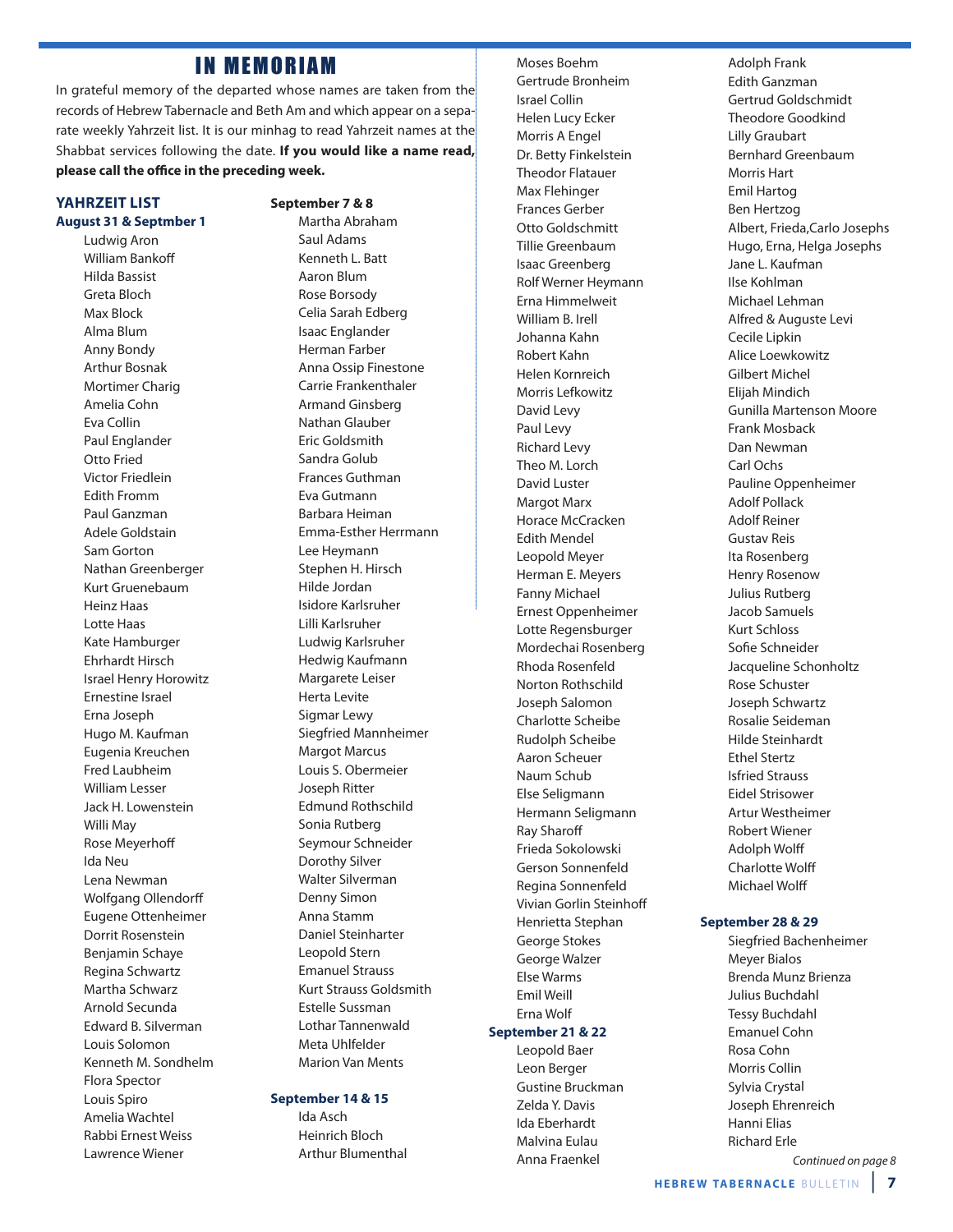### **IN MEMORIAM**

In grateful memory of the departed whose names are taken from the records of Hebrew Tabernacle and Beth Am and which appear on a separate weekly Yahrzeit list. It is our minhag to read Yahrzeit names at the Shabbat services following the date. **If you would like a name read,** please call the office in the preceding week.

### **YAHRZEIT LIST August 31 & Septmber 1**

Ludwig Aron William Bankoff Hilda Bassist Greta Bloch Max Block Alma Blum Anny Bondy Arthur Bosnak Mortimer Charig Amelia Cohn Eva Collin Paul Englander Otto Fried Victor Friedlein Edith Fromm Paul Ganzman Adele Goldstain Sam Gorton Nathan Greenberger Kurt Gruenebaum Heinz Haas Lotte Haas Kate Hamburger Ehrhardt Hirsch Israel Henry Horowitz Ernestine Israel Erna Joseph Hugo M. Kaufman Eugenia Kreuchen Fred Laubheim William Lesser Jack H. Lowenstein Willi May Rose Meyerhoff Ida Neu Lena Newman Wolfgang Ollendorff Eugene Ottenheimer Dorrit Rosenstein Benjamin Schaye Regina Schwartz Martha Schwarz Arnold Secunda Edward B. Silverman Louis Solomon Kenneth M. Sondhelm Flora Spector Louis Spiro Amelia Wachtel Rabbi Ernest Weiss Lawrence Wiener

### **September 7 & 8**

Martha Abraham Saul Adams Kenneth L. Batt Aaron Blum Rose Borsody Celia Sarah Edberg Isaac Englander Herman Farber Anna Ossip Finestone Carrie Frankenthaler Armand Ginsberg Nathan Glauber Eric Goldsmith Sandra Golub Frances Guthman Eva Gutmann Barbara Heiman Emma-Esther Herrmann Lee Heymann Stephen H. Hirsch Hilde Jordan Isidore Karlsruher Lilli Karlsruher Ludwig Karlsruher Hedwig Kaufmann Margarete Leiser Herta Levite Sigmar Lewy Siegfried Mannheimer Margot Marcus Louis S. Obermeier Joseph Ritter Edmund Rothschild Sonia Rutberg Seymour Schneider Dorothy Silver Walter Silverman Denny Simon Anna Stamm Daniel Steinharter Leopold Stern Emanuel Strauss Kurt Strauss Goldsmith Estelle Sussman Lothar Tannenwald Meta Uhlfelder Marion Van Ments

### **September 14 & 15**

Ida Asch Heinrich Bloch Arthur Blumenthal

Moses Boehm Gertrude Bronheim Israel Collin Helen Lucy Ecker Morris A Engel Dr. Betty Finkelstein Theodor Flatauer Max Flehinger Frances Gerber Otto Goldschmitt Tillie Greenbaum Isaac Greenberg Rolf Werner Heymann Erna Himmelweit William B. Irell Johanna Kahn Robert Kahn Helen Kornreich Morris Lefkowitz David Levy Paul Levy Richard Levy Theo M. Lorch David Luster Margot Marx Horace McCracken Edith Mendel Leopold Meyer Herman E. Meyers Fanny Michael Ernest Oppenheimer Lotte Regensburger Mordechai Rosenberg Rhoda Rosenfeld Norton Rothschild Joseph Salomon Charlotte Scheibe Rudolph Scheibe Aaron Scheuer Naum Schub Else Seligmann Hermann Seligmann **Ray Sharoff** Frieda Sokolowski Gerson Sonnenfeld Regina Sonnenfeld Vivian Gorlin Steinhoff Henrietta Stephan George Stokes George Walzer Else Warms Emil Weill Erna Wolf **September 21 & 22**

Leopold Baer Leon Berger Gustine Bruckman Zelda Y. Davis Ida Eberhardt Malvina Eulau Anna Fraenkel

Adolph Frank Edith Ganzman Gertrud Goldschmidt Theodore Goodkind Lilly Graubart Bernhard Greenbaum Morris Hart Emil Hartog Ben Hertzog Albert, Frieda,Carlo Josephs Hugo, Erna, Helga Josephs Jane L. Kaufman Ilse Kohlman Michael Lehman Alfred & Auguste Levi Cecile Lipkin Alice Loewkowitz Gilbert Michel Elijah Mindich Gunilla Martenson Moore Frank Mosback Dan Newman Carl Ochs Pauline Oppenheimer Adolf Pollack Adolf Reiner Gustav Reis Ita Rosenberg Henry Rosenow Julius Rutberg Jacob Samuels Kurt Schloss Sofie Schneider Jacqueline Schonholtz Rose Schuster Joseph Schwartz Rosalie Seideman Hilde Steinhardt Ethel Stertz Isfried Strauss Eidel Strisower Artur Westheimer Robert Wiener **Adolph Wolff** Charlotte Wolff Michael Wolff

### **September 28 & 29**

Siegfried Bachenheimer Meyer Bialos Brenda Munz Brienza Julius Buchdahl Tessy Buchdahl Emanuel Cohn Rosa Cohn Morris Collin Sylvia Crystal Joseph Ehrenreich Hanni Elias Richard Erle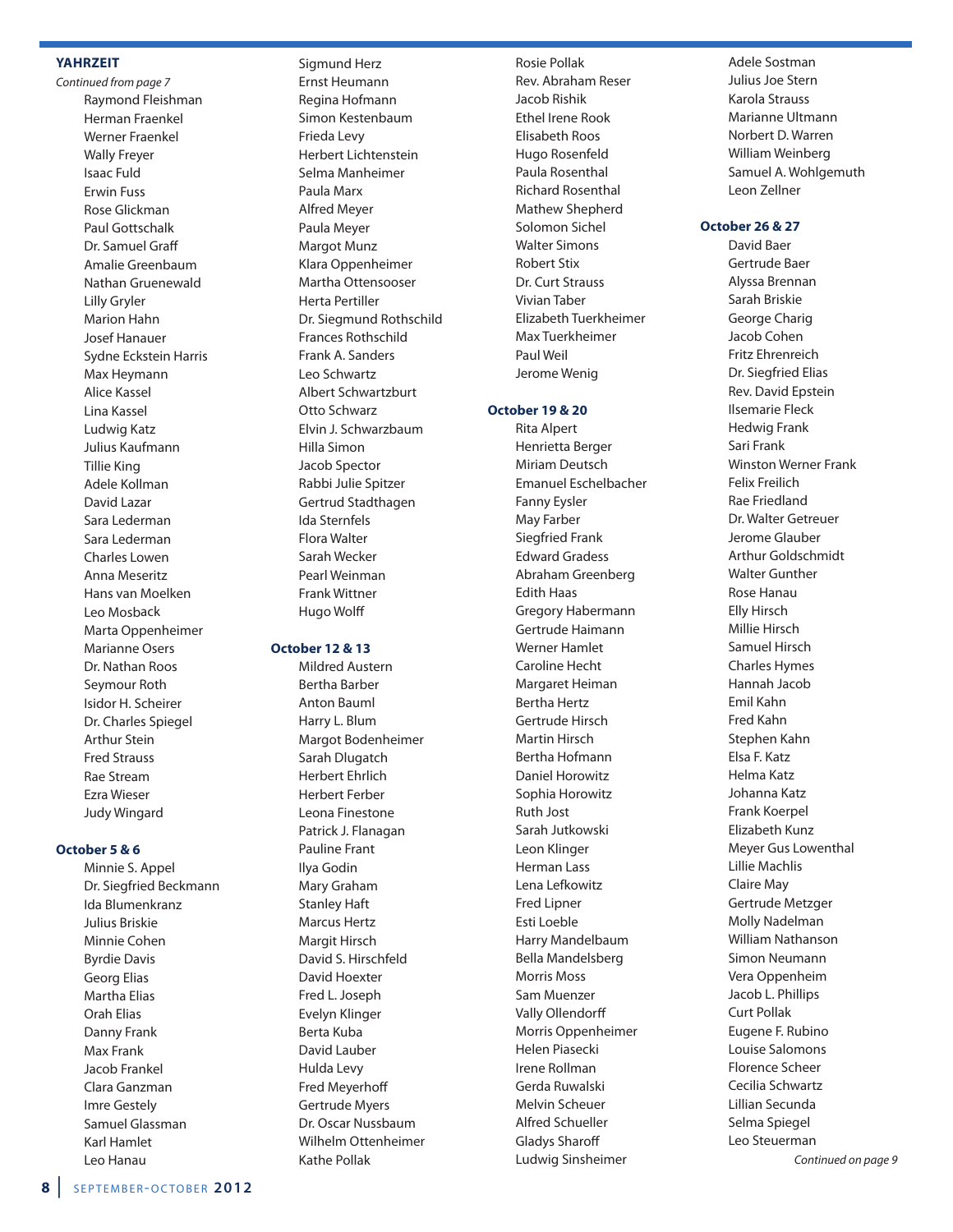### **YAHRZEIT**

Continued from page 7 Raymond Fleishman Herman Fraenkel Werner Fraenkel Wally Freyer Isaac Fuld Erwin Fuss Rose Glickman Paul Gottschalk Dr. Samuel Graff Amalie Greenbaum Nathan Gruenewald Lilly Gryler Marion Hahn Josef Hanauer Sydne Eckstein Harris Max Heymann Alice Kassel Lina Kassel Ludwig Katz Julius Kaufmann Tillie King Adele Kollman David Lazar Sara Lederman Sara Lederman Charles Lowen Anna Meseritz Hans van Moelken Leo Mosback Marta Oppenheimer Marianne Osers Dr. Nathan Roos Seymour Roth Isidor H. Scheirer Dr. Charles Spiegel Arthur Stein Fred Strauss Rae Stream Ezra Wieser Judy Wingard

### **October 5 & 6**

Minnie S. Appel Dr. Siegfried Beckmann Ida Blumenkranz Julius Briskie Minnie Cohen Byrdie Davis Georg Elias Martha Elias Orah Elias Danny Frank Max Frank Jacob Frankel Clara Ganzman Imre Gestely Samuel Glassman Karl Hamlet Leo Hanau

Sigmund Herz Ernst Heumann Regina Hofmann Simon Kestenbaum Frieda Levy Herbert Lichtenstein Selma Manheimer Paula Marx Alfred Meyer Paula Meyer Margot Munz Klara Oppenheimer Martha Ottensooser Herta Pertiller Dr. Siegmund Rothschild Frances Rothschild Frank A. Sanders Leo Schwartz Albert Schwartzburt Otto Schwarz Elvin J. Schwarzbaum Hilla Simon Jacob Spector Rabbi Julie Spitzer Gertrud Stadthagen Ida Sternfels Flora Walter Sarah Wecker Pearl Weinman Frank Wittner

### **October 12 & 13**

Hugo Wolff

Mildred Austern Bertha Barber Anton Bauml Harry L. Blum Margot Bodenheimer Sarah Dlugatch Herbert Ehrlich Herbert Ferber Leona Finestone Patrick J. Flanagan Pauline Frant Ilya Godin Mary Graham Stanley Haft Marcus Hertz Margit Hirsch David S. Hirschfeld David Hoexter Fred L. Joseph Evelyn Klinger Berta Kuba David Lauber Hulda Levy Fred Meyerhoff Gertrude Myers Dr. Oscar Nussbaum Wilhelm Ottenheimer Kathe Pollak

Rosie Pollak Rev. Abraham Reser Jacob Rishik Ethel Irene Rook Elisabeth Roos Hugo Rosenfeld Paula Rosenthal Richard Rosenthal Mathew Shepherd Solomon Sichel Walter Simons Robert Stix Dr. Curt Strauss Vivian Taber Elizabeth Tuerkheimer Max Tuerkheimer Paul Weil Jerome Wenig

### **October 19 & 20**

Rita Alpert Henrietta Berger Miriam Deutsch Emanuel Eschelbacher Fanny Eysler May Farber Siegfried Frank Edward Gradess Abraham Greenberg Edith Haas Gregory Habermann Gertrude Haimann Werner Hamlet Caroline Hecht Margaret Heiman Bertha Hertz Gertrude Hirsch Martin Hirsch Bertha Hofmann Daniel Horowitz Sophia Horowitz Ruth Jost Sarah Jutkowski Leon Klinger Herman Lass Lena Lefkowitz Fred Lipner Esti Loeble Harry Mandelbaum Bella Mandelsberg Morris Moss Sam Muenzer Vally Ollendorff Morris Oppenheimer Helen Piasecki Irene Rollman Gerda Ruwalski Melvin Scheuer Alfred Schueller Gladys Sharoff Ludwig Sinsheimer

Adele Sostman Julius Joe Stern Karola Strauss Marianne Ultmann Norbert D. Warren William Weinberg Samuel A. Wohlgemuth Leon Zellner

### **October 26 & 27**

David Baer Gertrude Baer Alyssa Brennan Sarah Briskie George Charig Jacob Cohen Fritz Ehrenreich Dr. Siegfried Elias Rev. David Epstein Ilsemarie Fleck Hedwig Frank Sari Frank Winston Werner Frank Felix Freilich Rae Friedland Dr. Walter Getreuer Jerome Glauber Arthur Goldschmidt Walter Gunther Rose Hanau Elly Hirsch Millie Hirsch Samuel Hirsch Charles Hymes Hannah Jacob Emil Kahn Fred Kahn Stephen Kahn Elsa F. Katz Helma Katz Johanna Katz Frank Koerpel Elizabeth Kunz Meyer Gus Lowenthal Lillie Machlis Claire May Gertrude Metzger Molly Nadelman William Nathanson Simon Neumann Vera Oppenheim Jacob L. Phillips Curt Pollak Eugene F. Rubino Louise Salomons Florence Scheer Cecilia Schwartz Lillian Secunda Selma Spiegel Leo Steuerman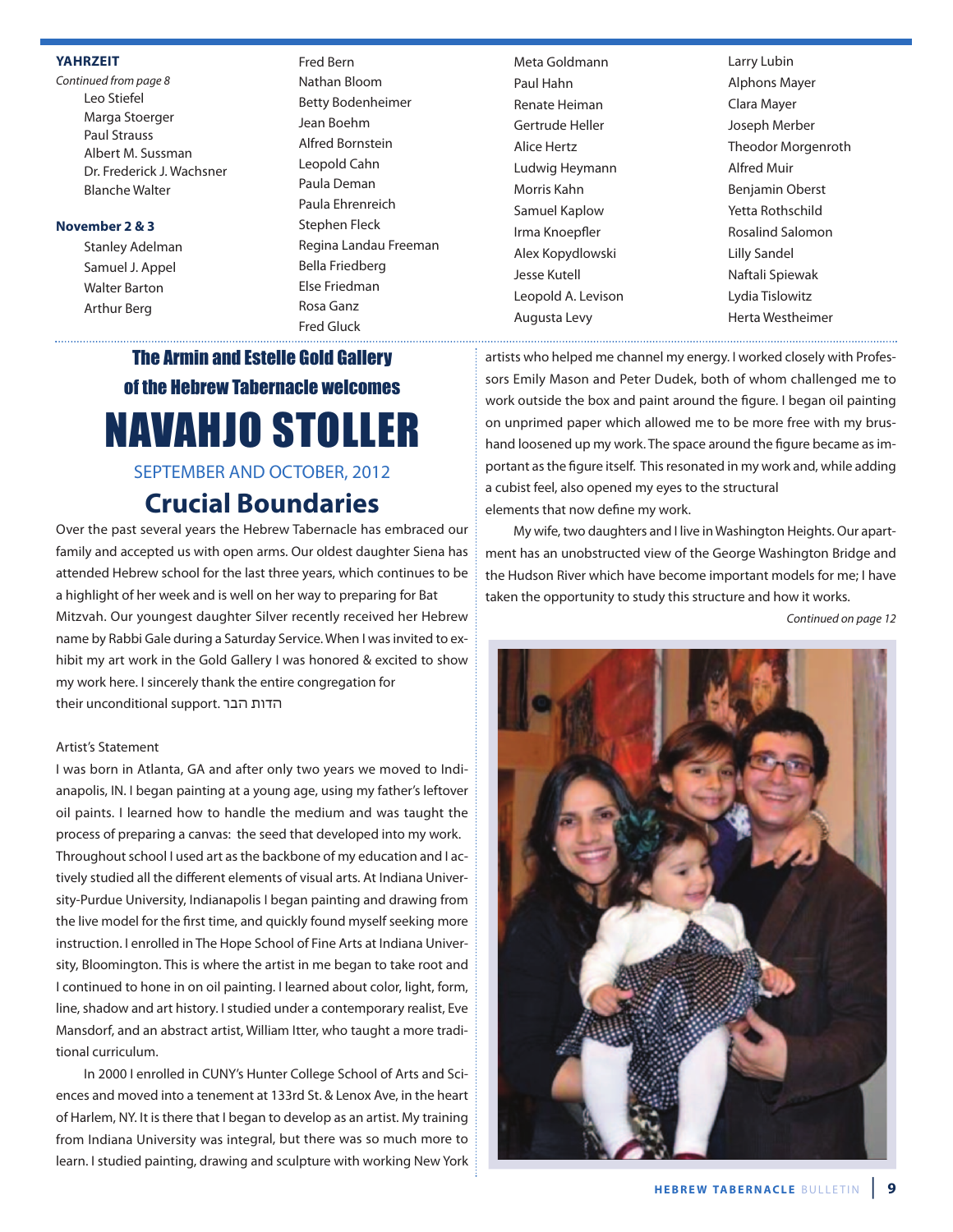### **YAHRZEIT**

Continued from page 8 Leo Stiefel Marga Stoerger Paul Strauss Albert M. Sussman Dr. Frederick J. Wachsner Blanche Walter

### **November 2 & 3**

Stanley Adelman Samuel J. Appel Walter Barton Arthur Berg

Fred Bern Nathan Bloom Betty Bodenheimer Jean Boehm Alfred Bornstein Leopold Cahn Paula Deman Paula Ehrenreich Stephen Fleck Regina Landau Freeman Bella Friedberg Else Friedman Rosa Ganz Fred Gluck

Meta Goldmann Paul Hahn Renate Heiman Gertrude Heller Alice Hertz Ludwig Heymann Morris Kahn Samuel Kaplow Irma Knoepfler Alex Kopydlowski Jesse Kutell Leopold A. Levison Augusta Levy

Larry Lubin Alphons Mayer Clara Mayer Joseph Merber Theodor Morgenroth Alfred Muir Benjamin Oberst Yetta Rothschild Rosalind Salomon Lilly Sandel Naftali Spiewak Lydia Tislowitz Herta Westheimer

## The Armin and Estelle Gold Gallery of the Hebrew Tabernacle welcomes NAVAHJO STOLLER

### SEPTEMBER AND OCTOBER, 2012

## **Crucial Boundaries**

Over the past several years the Hebrew Tabernacle has embraced our family and accepted us with open arms. Our oldest daughter Siena has attended Hebrew school for the last three years, which continues to be a highlight of her week and is well on her way to preparing for Bat Mitzvah. Our youngest daughter Silver recently received her Hebrew name by Rabbi Gale during a Saturday Service. When I was invited to exhibit my art work in the Gold Gallery I was honored & excited to show my work here. I sincerely thank the entire congregation for their unconditional support. הבר הדות

### Artist's Statement

I was born in Atlanta, GA and after only two years we moved to Indianapolis, IN. I began painting at a young age, using my father's leftover oil paints. I learned how to handle the medium and was taught the process of preparing a canvas: the seed that developed into my work. Throughout school I used art as the backbone of my education and I actively studied all the different elements of visual arts. At Indiana University-Purdue University, Indianapolis I began painting and drawing from the live model for the first time, and quickly found myself seeking more instruction. I enrolled in The Hope School of Fine Arts at Indiana University, Bloomington. This is where the artist in me began to take root and I continued to hone in on oil painting. I learned about color, light, form, line, shadow and art history. I studied under a contemporary realist, Eve Mansdorf, and an abstract artist, William Itter, who taught a more traditional curriculum.

In 2000 I enrolled in CUNY's Hunter College School of Arts and Sciences and moved into a tenement at 133rd St. & Lenox Ave, in the heart of Harlem, NY. It is there that I began to develop as an artist. My training from Indiana University was integral, but there was so much more to learn. I studied painting, drawing and sculpture with working New York artists who helped me channel my energy. I worked closely with Professors Emily Mason and Peter Dudek, both of whom challenged me to work outside the box and paint around the figure. I began oil painting on unprimed paper which allowed me to be more free with my brushand loosened up my work. The space around the figure became as important as the figure itself. This resonated in my work and, while adding a cubist feel, also opened my eyes to the structural elements that now define my work.

My wife, two daughters and I live in Washington Heights. Our apartment has an unobstructed view of the George Washington Bridge and the Hudson River which have become important models for me; I have taken the opportunity to study this structure and how it works.

Continued on page 12

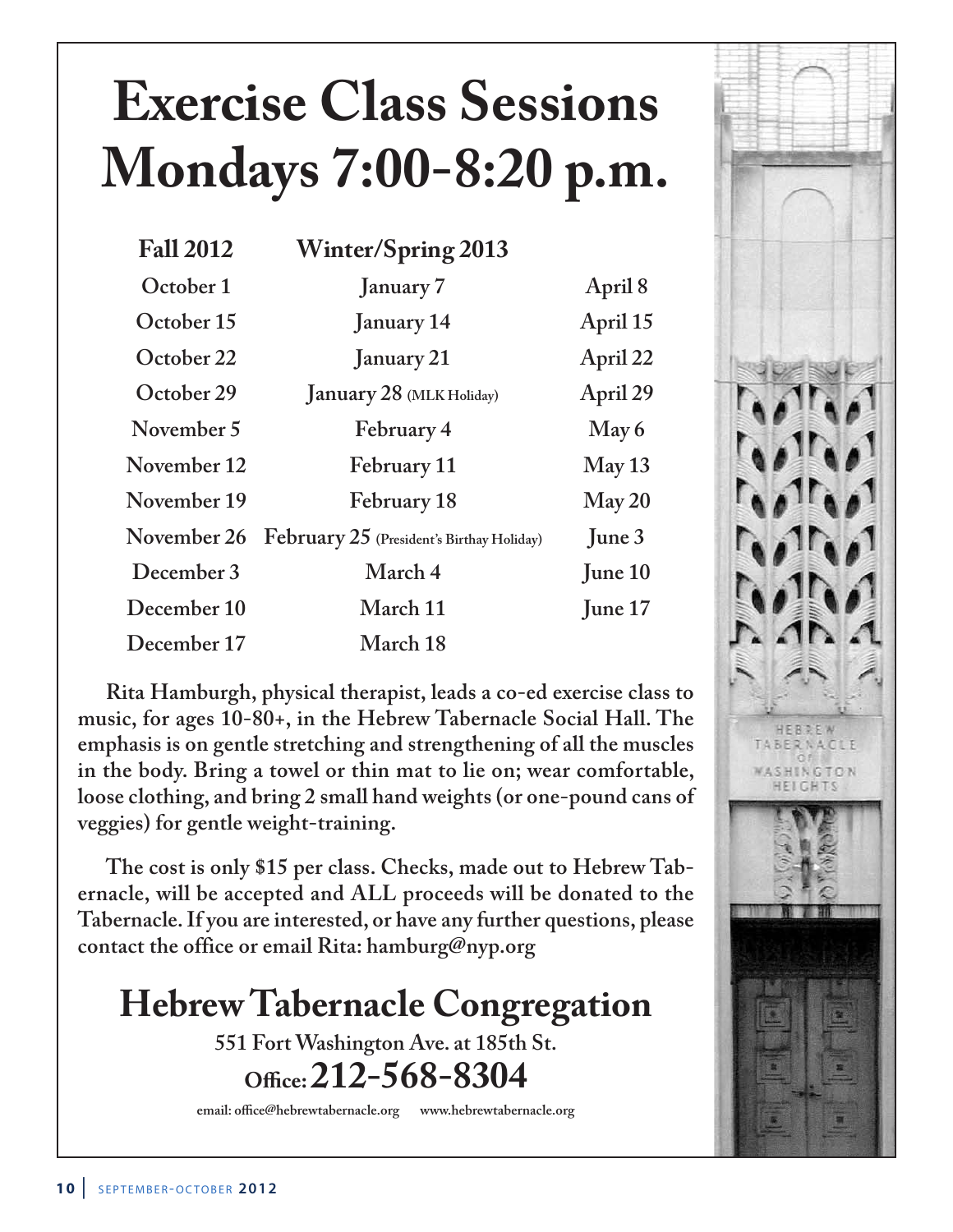# **Exercise Class Sessions Mondays 7:00-8:20 p.m.**

| <b>Fall 2012</b> | <b>Winter/Spring 2013</b>                 |          |
|------------------|-------------------------------------------|----------|
| October 1        | January 7                                 | April 8  |
| October 15       | <b>January</b> 14                         | April 15 |
| October 22       | January 21                                | April 22 |
| October 29       | January 28 (MLK Holiday)                  | April 29 |
| November 5       | February 4                                | May 6    |
| November 12      | February 11                               | May 13   |
| November 19      | February 18                               | May 20   |
| November 26      | February 25 (President's Birthay Holiday) | June $3$ |
| December 3       | March 4                                   | June 10  |
| December 10      | March 11                                  | June 17  |
| December 17      | March 18                                  |          |

**Rita Hamburgh, physical therapist, leads a co-ed exercise class to music, for ages 10-80+, in the Hebrew Tabernacle Social Hall. The emphasis is on gentle stretching and strengthening of all the muscles in the body. Bring a towel or thin mat to lie on; wear comfortable, loose clothing, and bring 2 small hand weights (or one-pound cans of veggies) for gentle weight-training.**

**The cost is only \$15 per class. Checks, made out to Hebrew Tabernacle, will be accepted and ALL proceeds will be donated to the Tabernacle. If you are interested, or have any further questions, please contact the office or email Rita: hamburg@nyp.org**

## **Hebrew Tabernacle Congregation**

**551 Fort Washington Ave. at 185th St. O\*ce:212-568-8304**

**email: office@hebrewtabernacle.org www.hebrewtabernacle.org**

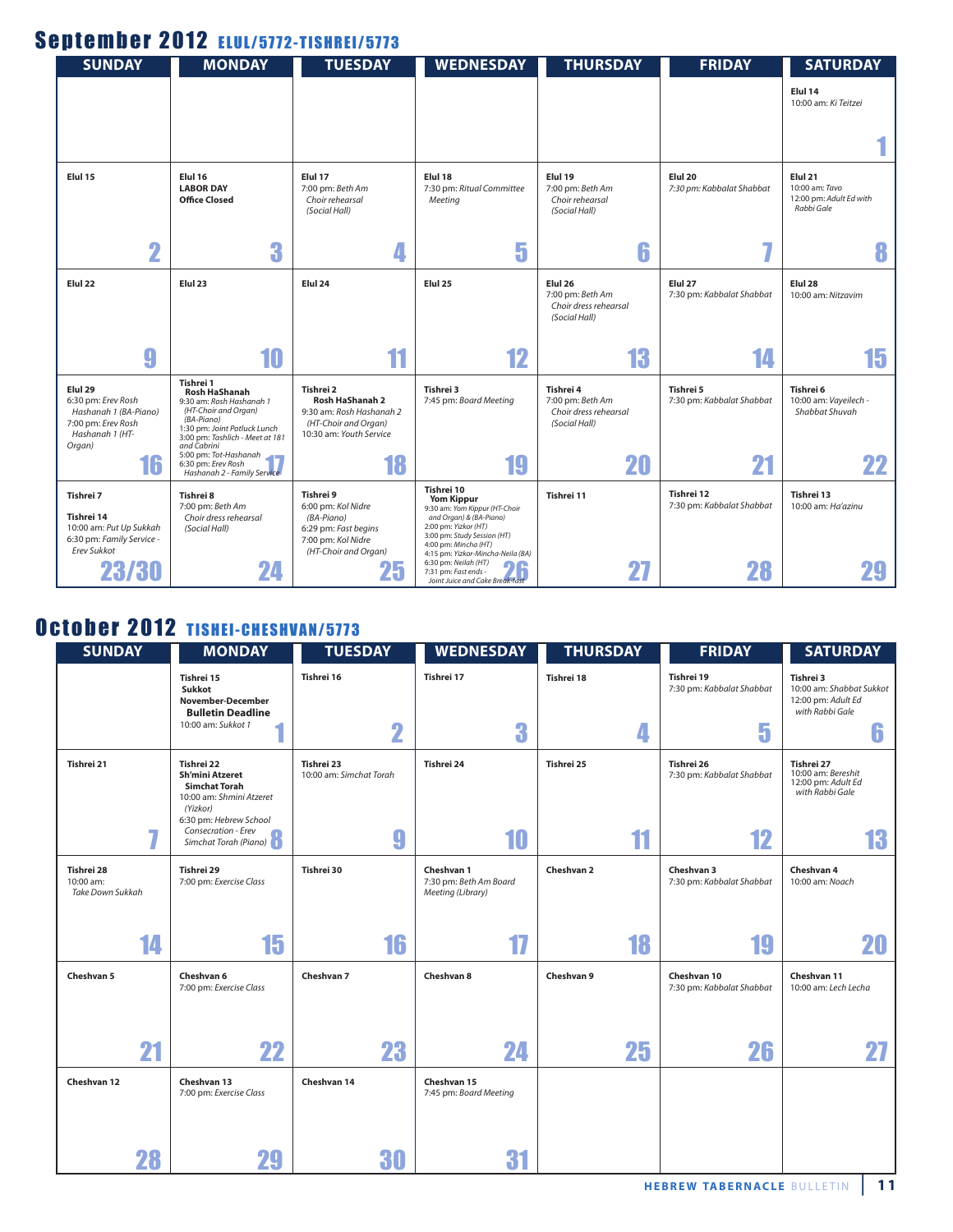## September 2012 ELUL/5772-TISHREI/5773

| <b>SUNDAY</b>                                                                                   | <b>MONDAY</b>                                                                                                                                                          | <b>TUESDAY</b>                                                                                                      | <b>WEDNESDAY</b>                                                                                                                                                                                                | <b>THURSDAY</b>                                                         | <b>FRIDAY</b>                           | <b>SATURDAY</b>                                                    |
|-------------------------------------------------------------------------------------------------|------------------------------------------------------------------------------------------------------------------------------------------------------------------------|---------------------------------------------------------------------------------------------------------------------|-----------------------------------------------------------------------------------------------------------------------------------------------------------------------------------------------------------------|-------------------------------------------------------------------------|-----------------------------------------|--------------------------------------------------------------------|
|                                                                                                 |                                                                                                                                                                        |                                                                                                                     |                                                                                                                                                                                                                 |                                                                         |                                         | Elul 14<br>10:00 am: Ki Teitzei                                    |
|                                                                                                 |                                                                                                                                                                        |                                                                                                                     |                                                                                                                                                                                                                 |                                                                         |                                         |                                                                    |
| Elul 15                                                                                         | Elul 16<br><b>LABOR DAY</b><br><b>Office Closed</b>                                                                                                                    | Elul 17<br>7:00 pm: Beth Am<br>Choir rehearsal<br>(Social Hall)                                                     | Elul 18<br>7:30 pm: Ritual Committee<br>Meeting                                                                                                                                                                 | Elul 19<br>7:00 pm: Beth Am<br>Choir rehearsal<br>(Social Hall)         | Elul 20<br>7:30 pm: Kabbalat Shabbat    | Elul 21<br>10:00 am: Tavo<br>12:00 pm: Adult Ed with<br>Rabbi Gale |
| $\overline{\mathbf{2}}$                                                                         | 3                                                                                                                                                                      | 4                                                                                                                   | 5                                                                                                                                                                                                               | 6                                                                       | - 1                                     | 8                                                                  |
| Elul 22                                                                                         | Elul <sub>23</sub>                                                                                                                                                     | Elul 24                                                                                                             | Elul <sub>25</sub>                                                                                                                                                                                              | Elul 26<br>7:00 pm: Beth Am<br>Choir dress rehearsal<br>(Social Hall)   | Elul 27<br>7:30 pm: Kabbalat Shabbat    | Elul <sub>28</sub><br>10:00 am: Nitzavim                           |
| 9                                                                                               | 10                                                                                                                                                                     | 11                                                                                                                  | 12                                                                                                                                                                                                              | 13                                                                      |                                         | 15                                                                 |
| Elul 29<br>6:30 pm: Erev Rosh<br>Hashanah 1 (BA-Piano)<br>7:00 pm: Erev Rosh<br>Hashanah 1 (HT- | Tishrei 1<br><b>Rosh HaShanah</b><br>9:30 am: Rosh Hashanah 1<br>(HT-Choir and Organ)<br>(BA-Piano)<br>1:30 pm: Joint Potluck Lunch<br>3:00 pm: Tashlich - Meet at 181 | Tishrei 2<br><b>Rosh HaShanah 2</b><br>9:30 am: Rosh Hashanah 2<br>(HT-Choir and Organ)<br>10:30 am: Youth Service  | Tishrei 3<br>7:45 pm: Board Meeting                                                                                                                                                                             | Tishrei 4<br>7:00 pm: Beth Am<br>Choir dress rehearsal<br>(Social Hall) | Tishrei 5<br>7:30 pm: Kabbalat Shabbat  | Tishrei 6<br>10:00 am: Vayeilech -<br>Shabbat Shuvah               |
| Organ)<br>16                                                                                    | and Cabrini<br>5:00 pm: Tot-Hashanah<br>6:30 pm: Erev Rosh<br>Hashanah 2 - Family Service                                                                              | 18                                                                                                                  | 19                                                                                                                                                                                                              | 20                                                                      | 21                                      | 22                                                                 |
| Tishrei 7<br>Tishrei 14<br>10:00 am: Put Up Sukkah<br>6:30 pm: Family Service -<br>Erev Sukkot  | Tishrei 8<br>7:00 pm: Beth Am<br>Choir dress rehearsal<br>(Social Hall)                                                                                                | Tishrei 9<br>6:00 pm: Kol Nidre<br>(BA-Piano)<br>6:29 pm: Fast begins<br>7:00 pm: Kol Nidre<br>(HT-Choir and Organ) | Tishrei 10<br><b>Yom Kippur</b><br>9:30 am: Yom Kippur (HT-Choir<br>and Organ) & (BA-Piano)<br>2:00 pm: Yizkor (HT)<br>3:00 pm: Study Session (HT)<br>4:00 pm: Mincha (HT)<br>4:15 pm: Yizkor-Mincha-Neila (BA) | Tishrei 11                                                              | Tishrei 12<br>7:30 pm: Kabbalat Shabbat | Tishrei 13<br>10:00 am: Ha'azinu                                   |
| 23/30                                                                                           | 24                                                                                                                                                                     | Zu                                                                                                                  | 6:30 pm: Neilah (HT)<br>7:31 pm: Fast ends -<br>Joint Juice and Cake Break-fast                                                                                                                                 | 27                                                                      | 28                                      |                                                                    |

## October 2012 TISHEI-CHESHVAN/5773

| <b>SUNDAY</b>                               | <b>MONDAY</b>                                                                                                                  | <b>TUESDAY</b>                        | <b>WEDNESDAY</b>                                          | <b>THURSDAY</b> | <b>FRIDAY</b>                            | <b>SATURDAY</b>                                                                |
|---------------------------------------------|--------------------------------------------------------------------------------------------------------------------------------|---------------------------------------|-----------------------------------------------------------|-----------------|------------------------------------------|--------------------------------------------------------------------------------|
|                                             | Tishrei 15<br>Sukkot<br>November-December<br><b>Bulletin Deadline</b>                                                          | Tishrei 16                            | Tishrei 17                                                | Tishrei 18      | Tishrei 19<br>7:30 pm: Kabbalat Shabbat  | Tishrei 3<br>10:00 am: Shabbat Sukkot<br>12:00 pm: Adult Ed<br>with Rabbi Gale |
|                                             | 10:00 am: Sukkot 1                                                                                                             | $\overline{\mathbf{2}}$               | 3                                                         | 4               | 5                                        | n                                                                              |
| Tishrei 21                                  | Tishrei 22<br><b>Sh'mini Atzeret</b><br><b>Simchat Torah</b><br>10:00 am: Shmini Atzeret<br>(Yizkor)<br>6:30 pm: Hebrew School | Tishrei 23<br>10:00 am: Simchat Torah | Tishrei 24                                                | Tishrei 25      | Tishrei 26<br>7:30 pm: Kabbalat Shabbat  | Tishrei 27<br>10:00 am: Bereshit<br>12:00 pm: Adult Ed<br>with Rabbi Gale      |
| 7                                           | Consecration - Erev<br>Simchat Torah (Piano)                                                                                   | 9                                     | 10                                                        | 11              | 12                                       | 13                                                                             |
| Tishrei 28<br>10:00 am:<br>Take Down Sukkah | Tishrei 29<br>7:00 pm: Exercise Class                                                                                          | Tishrei 30                            | Cheshvan 1<br>7:30 pm: Beth Am Board<br>Meeting (Library) | Cheshvan 2      | Cheshvan 3<br>7:30 pm: Kabbalat Shabbat  | Cheshvan 4<br>10:00 am: Noach                                                  |
| 14                                          | 15                                                                                                                             | 16                                    | 17                                                        | 18              |                                          | 20                                                                             |
| Cheshvan 5                                  | Cheshvan 6<br>7:00 pm: Exercise Class                                                                                          | Cheshvan 7                            | Cheshvan 8                                                | Cheshvan 9      | Cheshvan 10<br>7:30 pm: Kabbalat Shabbat | Cheshvan 11<br>10:00 am: Lech Lecha                                            |
| 21                                          | 22                                                                                                                             | 23                                    | 24                                                        | 25              | 26                                       | 27                                                                             |
| Cheshvan 12                                 | Cheshvan 13<br>7:00 pm: Exercise Class                                                                                         | Cheshvan 14                           | Cheshvan 15<br>7:45 pm: Board Meeting                     |                 |                                          |                                                                                |
| 28                                          |                                                                                                                                | 30                                    | 31                                                        |                 |                                          |                                                                                |